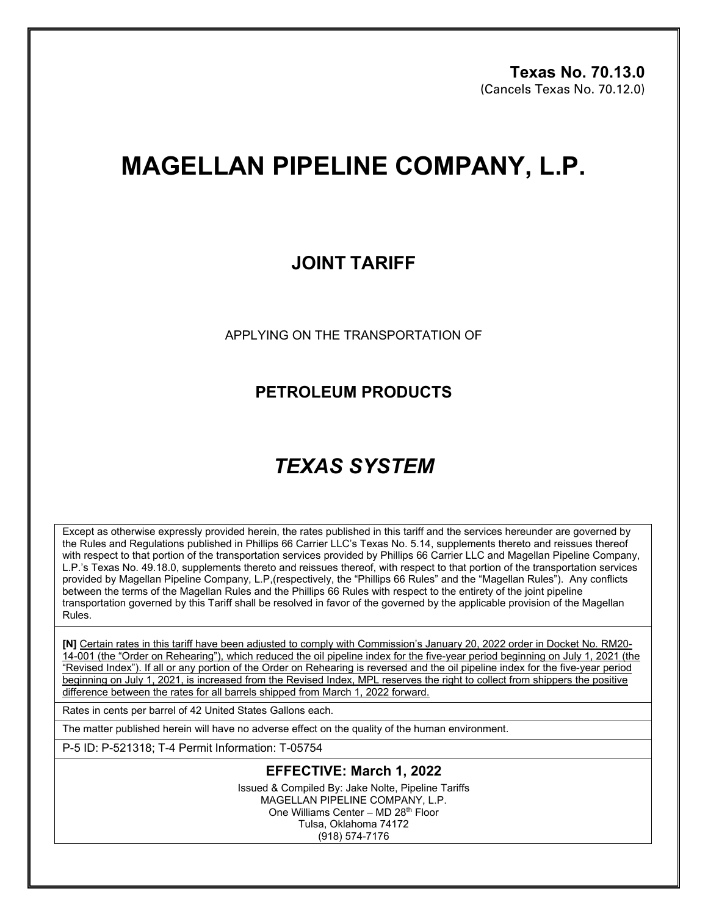# **MAGELLAN PIPELINE COMPANY, L.P.**

### **JOINT TARIFF**

APPLYING ON THE TRANSPORTATION OF

**PETROLEUM PRODUCTS**

## *TEXAS SYSTEM*

Except as otherwise expressly provided herein, the rates published in this tariff and the services hereunder are governed by the Rules and Regulations published in Phillips 66 Carrier LLC's Texas No. 5.14, supplements thereto and reissues thereof with respect to that portion of the transportation services provided by Phillips 66 Carrier LLC and Magellan Pipeline Company, L.P.'s Texas No. 49.18.0, supplements thereto and reissues thereof, with respect to that portion of the transportation services provided by Magellan Pipeline Company, L.P,(respectively, the "Phillips 66 Rules" and the "Magellan Rules"). Any conflicts between the terms of the Magellan Rules and the Phillips 66 Rules with respect to the entirety of the joint pipeline transportation governed by this Tariff shall be resolved in favor of the governed by the applicable provision of the Magellan Rules.

**[N]** Certain rates in this tariff have been adjusted to comply with Commission's January 20, 2022 order in Docket No. RM20- 14-001 (the "Order on Rehearing"), which reduced the oil pipeline index for the five-year period beginning on July 1, 2021 (the "Revised Index"). If all or any portion of the Order on Rehearing is reversed and the oil pipeline index for the five-year period beginning on July 1, 2021, is increased from the Revised Index, MPL reserves the right to collect from shippers the positive difference between the rates for all barrels shipped from March 1, 2022 forward.

Rates in cents per barrel of 42 United States Gallons each.

The matter published herein will have no adverse effect on the quality of the human environment.

P-5 ID: P-521318; T-4 Permit Information: T-05754

#### **EFFECTIVE: March 1, 2022**

Issued & Compiled By: Jake Nolte, Pipeline Tariffs MAGELLAN PIPELINE COMPANY, L.P. One Williams Center – MD 28th Floor Tulsa, Oklahoma 74172 (918) 574-7176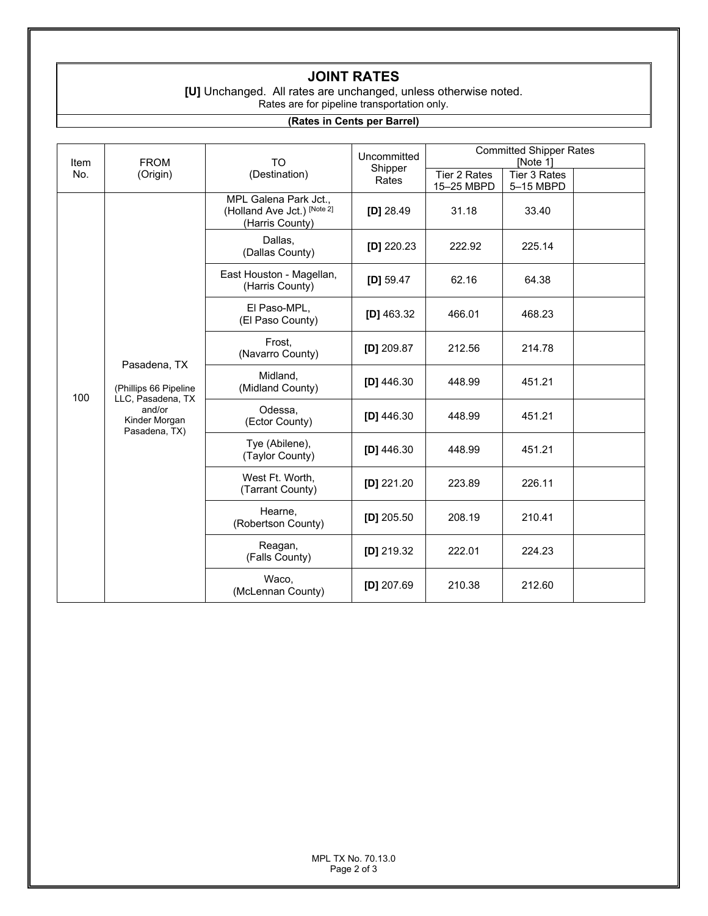### **JOINT RATES**

**[U]** Unchanged. All rates are unchanged, unless otherwise noted. Rates are for pipeline transportation only.

#### **(Rates in Cents per Barrel)**

| Item<br>No. | <b>FROM</b><br>(Origin)                                                                                | <b>TO</b><br>(Destination)                                              | Uncommitted<br>Shipper<br>Rates | <b>Committed Shipper Rates</b><br>[Note 1] |                                  |  |
|-------------|--------------------------------------------------------------------------------------------------------|-------------------------------------------------------------------------|---------------------------------|--------------------------------------------|----------------------------------|--|
|             |                                                                                                        |                                                                         |                                 | Tier 2 Rates<br>15-25 MBPD                 | <b>Tier 3 Rates</b><br>5-15 MBPD |  |
| 100         | Pasadena, TX<br>(Phillips 66 Pipeline<br>LLC, Pasadena, TX<br>and/or<br>Kinder Morgan<br>Pasadena, TX) | MPL Galena Park Jct.,<br>(Holland Ave Jct.) [Note 2]<br>(Harris County) | $[D]$ 28.49                     | 31.18                                      | 33.40                            |  |
|             |                                                                                                        | Dallas,<br>(Dallas County)                                              | [D] $220.23$                    | 222.92                                     | 225.14                           |  |
|             |                                                                                                        | East Houston - Magellan,<br>(Harris County)                             | [D] $59.47$                     | 62.16                                      | 64.38                            |  |
|             |                                                                                                        | El Paso-MPL,<br>(El Paso County)                                        | [D] $463.32$                    | 466.01                                     | 468.23                           |  |
|             |                                                                                                        | Frost,<br>(Navarro County)                                              | [D] $209.87$                    | 212.56                                     | 214.78                           |  |
|             |                                                                                                        | Midland,<br>(Midland County)                                            | $[D]$ 446.30                    | 448.99                                     | 451.21                           |  |
|             |                                                                                                        | Odessa,<br>(Ector County)                                               | [D] $446.30$                    | 448.99                                     | 451.21                           |  |
|             |                                                                                                        | Tye (Abilene),<br>(Taylor County)                                       | $[D]$ 446.30                    | 448.99                                     | 451.21                           |  |
|             |                                                                                                        | West Ft. Worth,<br>(Tarrant County)                                     | $[D]$ 221.20                    | 223.89                                     | 226.11                           |  |
|             |                                                                                                        | Hearne,<br>(Robertson County)                                           | [D] $205.50$                    | 208.19                                     | 210.41                           |  |
|             |                                                                                                        | Reagan,<br>(Falls County)                                               | $[D]$ 219.32                    | 222.01                                     | 224.23                           |  |
|             |                                                                                                        | Waco,<br>(McLennan County)                                              | [D] $207.69$                    | 210.38                                     | 212.60                           |  |